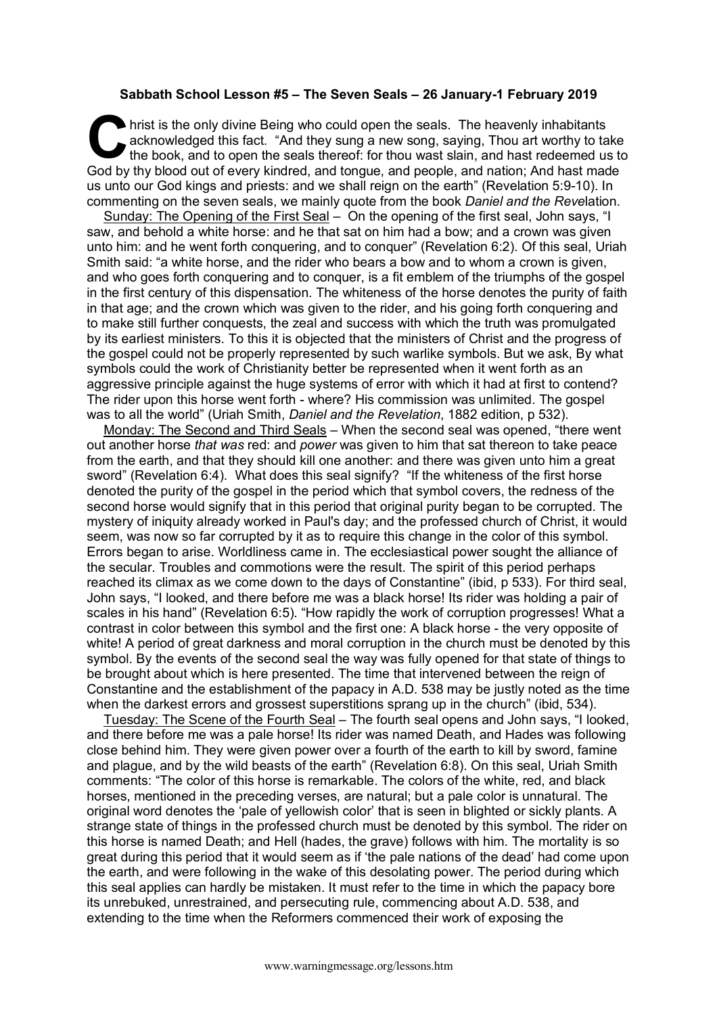## **Sabbath School Lesson #5 – The Seven Seals – 26 January-1 February 2019**

hrist is the only divine Being who could open the seals. The heavenly inhabitants acknowledged this fact. "And they sung a new song, saying, Thou art worthy to take the book, and to open the seals thereof: for thou wast sl acknowledged this fact. "And they sung a new song, saying, Thou art worthy to take the book, and to open the seals thereof: for thou wast slain, and hast redeemed us to God by thy blood out of every kindred, and tongue, and people, and nation; And hast made us unto our God kings and priests: and we shall reign on the earth" (Revelation 5:9-10). In commenting on the seven seals, we mainly quote from the book *Daniel and the Reve*lation.

Sunday: The Opening of the First Seal – On the opening of the first seal, John says, "I saw, and behold a white horse: and he that sat on him had a bow; and a crown was given unto him: and he went forth conquering, and to conquer" (Revelation 6:2). Of this seal, Uriah Smith said: "a white horse, and the rider who bears a bow and to whom a crown is given, and who goes forth conquering and to conquer, is a fit emblem of the triumphs of the gospel in the first century of this dispensation. The whiteness of the horse denotes the purity of faith in that age; and the crown which was given to the rider, and his going forth conquering and to make still further conquests, the zeal and success with which the truth was promulgated by its earliest ministers. To this it is objected that the ministers of Christ and the progress of the gospel could not be properly represented by such warlike symbols. But we ask, By what symbols could the work of Christianity better be represented when it went forth as an aggressive principle against the huge systems of error with which it had at first to contend? The rider upon this horse went forth - where? His commission was unlimited. The gospel was to all the world" (Uriah Smith, *Daniel and the Revelation*, 1882 edition, p 532).

Monday: The Second and Third Seals – When the second seal was opened, "there went out another horse *that was* red: and *power* was given to him that sat thereon to take peace from the earth, and that they should kill one another: and there was given unto him a great sword" (Revelation 6:4). What does this seal signify? "If the whiteness of the first horse denoted the purity of the gospel in the period which that symbol covers, the redness of the second horse would signify that in this period that original purity began to be corrupted. The mystery of iniquity already worked in Paul's day; and the professed church of Christ, it would seem, was now so far corrupted by it as to require this change in the color of this symbol. Errors began to arise. Worldliness came in. The ecclesiastical power sought the alliance of the secular. Troubles and commotions were the result. The spirit of this period perhaps reached its climax as we come down to the days of Constantine" (ibid, p 533). For third seal, John says, "I looked, and there before me was a black horse! Its rider was holding a pair of scales in his hand" (Revelation 6:5). "How rapidly the work of corruption progresses! What a contrast in color between this symbol and the first one: A black horse - the very opposite of white! A period of great darkness and moral corruption in the church must be denoted by this symbol. By the events of the second seal the way was fully opened for that state of things to be brought about which is here presented. The time that intervened between the reign of Constantine and the establishment of the papacy in A.D. 538 may be justly noted as the time when the darkest errors and grossest superstitions sprang up in the church" (ibid, 534).

Tuesday: The Scene of the Fourth Seal – The fourth seal opens and John says, "I looked, and there before me was a pale horse! Its rider was named Death, and Hades was following close behind him. They were given power over a fourth of the earth to kill by sword, famine and plague, and by the wild beasts of the earth" (Revelation 6:8). On this seal, Uriah Smith comments: "The color of this horse is remarkable. The colors of the white, red, and black horses, mentioned in the preceding verses, are natural; but a pale color is unnatural. The original word denotes the 'pale of yellowish color' that is seen in blighted or sickly plants. A strange state of things in the professed church must be denoted by this symbol. The rider on this horse is named Death; and Hell (hades, the grave) follows with him. The mortality is so great during this period that it would seem as if 'the pale nations of the dead' had come upon the earth, and were following in the wake of this desolating power. The period during which this seal applies can hardly be mistaken. It must refer to the time in which the papacy bore its unrebuked, unrestrained, and persecuting rule, commencing about A.D. 538, and extending to the time when the Reformers commenced their work of exposing the